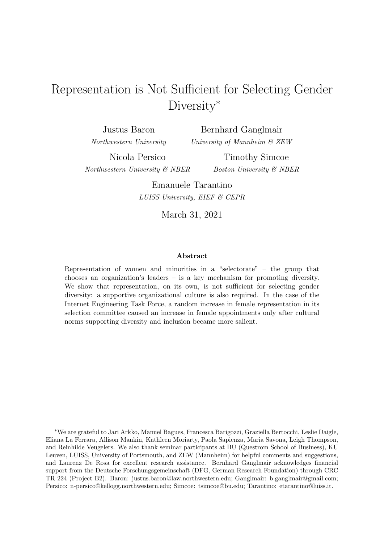## Representation is Not Sufficient for Selecting Gender Diversity<sup>\*</sup>

Justus Baron Northwestern University

Bernhard Ganglmair University of Mannheim & ZEW

Nicola Persico Northwestern University & NBER

Timothy Simcoe Boston University & NBER

Emanuele Tarantino LUISS University, EIEF & CEPR

March 31, 2021

#### Abstract

Representation of women and minorities in a "selectorate" – the group that chooses an organization's leaders – is a key mechanism for promoting diversity. We show that representation, on its own, is not sufficient for selecting gender diversity: a supportive organizational culture is also required. In the case of the Internet Engineering Task Force, a random increase in female representation in its selection committee caused an increase in female appointments only after cultural norms supporting diversity and inclusion became more salient.

<sup>∗</sup>We are grateful to Jari Arkko, Manuel Bagues, Francesca Barigozzi, Graziella Bertocchi, Leslie Daigle, Eliana La Ferrara, Allison Mankin, Kathleen Moriarty, Paola Sapienza, Maria Savona, Leigh Thompson, and Reinhilde Veugelers. We also thank seminar participants at BU (Questrom School of Business), KU Leuven, LUISS, University of Portsmouth, and ZEW (Mannheim) for helpful comments and suggestions, and Laurenz De Rosa for excellent research assistance. Bernhard Ganglmair acknowledges financial support from the Deutsche Forschungsgemeinschaft (DFG, German Research Foundation) through CRC TR 224 (Project B2). Baron: justus.baron@law.northwestern.edu; Ganglmair: b.ganglmair@gmail.com; Persico: n-persico@kellogg.northwestern.edu; Simcoe: tsimcoe@bu.edu; Tarantino: etarantino@luiss.it.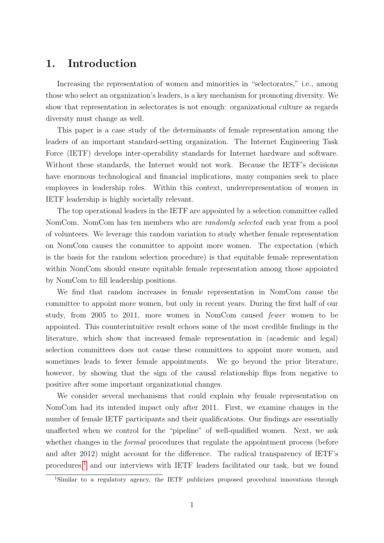#### 1. Introduction

Increasing the representation of women and minorities in "selectorates," i.e., among those who select an organization's leaders, is a key mechanism for promoting diversity. We show that representation in selectorates is not enough: organizational culture as regards diversity must change as well.

This paper is a case study of the determinants of female representation among the leaders of an important standard-setting organization. The Internet Engineering Task Force (IETF) develops inter-operability standards for Internet hardware and software. Without these standards, the Internet would not work. Because the IETF's decisions have enormous technological and financial implications, many companies seek to place employees in leadership roles. Within this context, underrepresentation of women in IETF leadership is highly societally relevant.

The top operational leaders in the IETF are appointed by a selection committee called NomCom. NomCom has ten members who are *randomly selected* each year from a pool of volunteers. We leverage this random variation to study whether female representation on NomCom causes the committee to appoint more women. The expectation (which is the basis for the random selection procedure) is that equitable female representation within NomCom should ensure equitable female representation among those appointed by NomCom to fill leadership positions.

We find that random increases in female representation in NomCom cause the committee to appoint more women, but only in recent years. During the first half of our study, from 2005 to 2011, more women in NomCom caused fewer women to be appointed. This counterintuitive result echoes some of the most credible findings in the literature, which show that increased female representation in (academic and legal) selection committees does not cause these committees to appoint more women, and sometimes leads to fewer female appointments. We go beyond the prior literature, however, by showing that the sign of the causal relationship flips from negative to positive after some important organizational changes.

We consider several mechanisms that could explain why female representation on NomCom had its intended impact only after 2011. First, we examine changes in the number of female IETF participants and their qualifications. Our findings are essentially unaffected when we control for the "pipeline" of well-qualified women. Next, we ask whether changes in the *formal* procedures that regulate the appointment process (before and after 2012) might account for the difference. The radical transparency of IETF's procedures,[1](#page-1-0) and our interviews with IETF leaders facilitated our task, but we found

<span id="page-1-0"></span><sup>1</sup>Similar to a regulatory agency, the IETF publicizes proposed procedural innovations through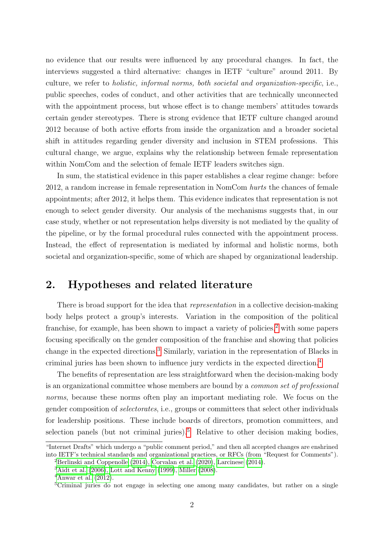no evidence that our results were influenced by any procedural changes. In fact, the interviews suggested a third alternative: changes in IETF "culture" around 2011. By culture, we refer to holistic, informal norms, both societal and organization-specific, i.e., public speeches, codes of conduct, and other activities that are technically unconnected with the appointment process, but whose effect is to change members' attitudes towards certain gender stereotypes. There is strong evidence that IETF culture changed around 2012 because of both active efforts from inside the organization and a broader societal shift in attitudes regarding gender diversity and inclusion in STEM professions. This cultural change, we argue, explains why the relationship between female representation within NomCom and the selection of female IETF leaders switches sign.

In sum, the statistical evidence in this paper establishes a clear regime change: before 2012, a random increase in female representation in NomCom hurts the chances of female appointments; after 2012, it helps them. This evidence indicates that representation is not enough to select gender diversity. Our analysis of the mechanisms suggests that, in our case study, whether or not representation helps diversity is not mediated by the quality of the pipeline, or by the formal procedural rules connected with the appointment process. Instead, the effect of representation is mediated by informal and holistic norms, both societal and organization-specific, some of which are shaped by organizational leadership.

#### 2. Hypotheses and related literature

There is broad support for the idea that *representation* in a collective decision-making body helps protect a group's interests. Variation in the composition of the political franchise, for example, has been shown to impact a variety of policies,<sup>[2](#page-2-0)</sup> with some papers focusing specifically on the gender composition of the franchise and showing that policies change in the expected directions.[3](#page-2-1) Similarly, variation in the representation of Blacks in criminal juries has been shown to influence jury verdicts in the expected direction.[4](#page-2-2)

The benefits of representation are less straightforward when the decision-making body is an organizational committee whose members are bound by a common set of professional norms, because these norms often play an important mediating role. We focus on the gender composition of selectorates, i.e., groups or committees that select other individuals for leadership positions. These include boards of directors, promotion committees, and selection panels (but not criminal juries).<sup>[5](#page-2-3)</sup> Relative to other decision making bodies,

<sup>&</sup>quot;Internet Drafts" which undergo a "public comment period," and then all accepted changes are enshrined into IETF's technical standards and organizational practices, or RFCs (from "Request for Comments").

<span id="page-2-0"></span><sup>&</sup>lt;sup>2</sup>[Berlinski and Coppenolle](#page-17-0)  $(2014)$ , [Corvalan et al.](#page-17-1)  $(2020)$ , [Larcinese](#page-18-0)  $(2014)$ .

<span id="page-2-1"></span><sup>3</sup>[Aidt et al.](#page-17-2) [\(2006\)](#page-17-2), [Lott and Kenny](#page-18-1) [\(1999\)](#page-18-1), [Miller](#page-18-2) [\(2008\)](#page-18-2).

<span id="page-2-2"></span> $4$ [Anwar et al.](#page-17-3) [\(2012\)](#page-17-3).

<span id="page-2-3"></span><sup>&</sup>lt;sup>5</sup>Criminal juries do not engage in selecting one among many candidates, but rather on a single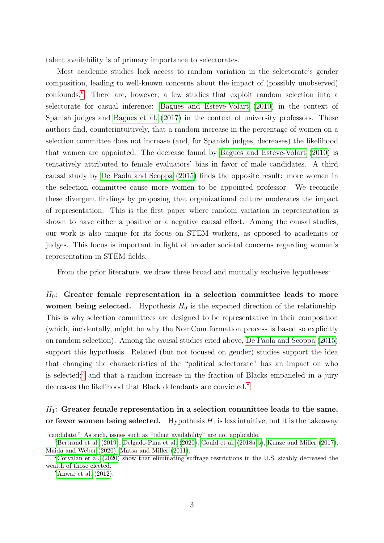talent availability is of primary importance to selectorates.

Most academic studies lack access to random variation in the selectorate's gender composition, leading to well-known concerns about the impact of (possibly unobserved) confounds.[6](#page-3-0) There are, however, a few studies that exploit random selection into a selectorate for casual inference: [Bagues and Esteve-Volart](#page-17-4) [\(2010\)](#page-17-4) in the context of Spanish judges and [Bagues et al.](#page-17-5) [\(2017\)](#page-17-5) in the context of university professors. These authors find, counterintuitively, that a random increase in the percentage of women on a selection committee does not increase (and, for Spanish judges, decreases) the likelihood that women are appointed. The decrease found by [Bagues and Esteve-Volart](#page-17-4) [\(2010\)](#page-17-4) is tentatively attributed to female evaluators' bias in favor of male candidates. A third causal study by [De Paola and Scoppa](#page-17-6) [\(2015\)](#page-17-6) finds the opposite result: more women in the selection committee cause more women to be appointed professor. We reconcile these divergent findings by proposing that organizational culture moderates the impact of representation. This is the first paper where random variation in representation is shown to have either a positive or a negative causal effect. Among the causal studies, our work is also unique for its focus on STEM workers, as opposed to academics or judges. This focus is important in light of broader societal concerns regarding women's representation in STEM fields.

From the prior literature, we draw three broad and mutually exclusive hypotheses:

 $H_0$ : Greater female representation in a selection committee leads to more women being selected. Hypothesis  $H_0$  is the expected direction of the relationship. This is why selection committees are designed to be representative in their composition (which, incidentally, might be why the NomCom formation process is based so explicitly on random selection). Among the causal studies cited above, [De Paola and Scoppa](#page-17-6) [\(2015\)](#page-17-6) support this hypothesis. Related (but not focused on gender) studies support the idea that changing the characteristics of the "political selectorate" has an impact on who is selected;<sup>[7](#page-3-1)</sup> and that a random increase in the fraction of Blacks empaneled in a jury decreases the likelihood that Black defendants are convicted.<sup>[8](#page-3-2)</sup>

 $H_1$ : Greater female representation in a selection committee leads to the same, or fewer women being selected. Hypothesis  $H_1$  is less intuitive, but it is the takeaway

<sup>&</sup>quot;candidate." As such, issues such as "talent availability" are not applicable.

<span id="page-3-0"></span> ${}^{6}$ [Bertrand et al.](#page-17-7) [\(2019\)](#page-17-7), [Delgado-Pina et al.](#page-17-8) [\(2020\)](#page-17-8), [Gould et al.](#page-18-3) [\(2018a,](#page-18-3)[b\)](#page-18-4), [Kunze and Miller](#page-18-5) [\(2017\)](#page-18-5), [Maida and Weber](#page-18-6) [\(2020\)](#page-18-6), [Matsa and Miller](#page-18-7) [\(2011\)](#page-18-7).

<span id="page-3-1"></span><sup>7</sup>[Corvalan et al.](#page-17-1) [\(2020\)](#page-17-1) show that eliminating suffrage restrictions in the U.S. sizably decreased the wealth of those elected.

<span id="page-3-2"></span> ${}^8$ [Anwar et al.](#page-17-3) [\(2012\)](#page-17-3).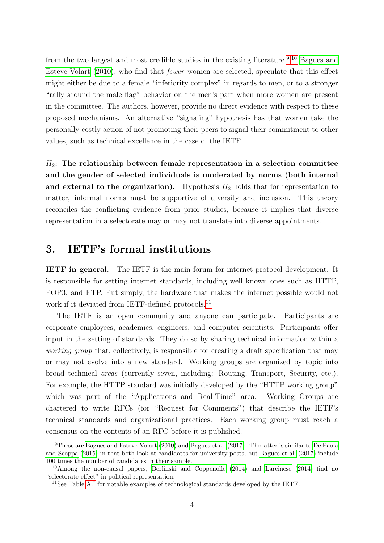from the two largest and most credible studies in the existing literature.<sup>[9](#page-4-0),[10](#page-4-1)</sup> [Bagues and](#page-17-4) [Esteve-Volart](#page-17-4) [\(2010\)](#page-17-4), who find that fewer women are selected, speculate that this effect might either be due to a female "inferiority complex" in regards to men, or to a stronger "rally around the male flag" behavior on the men's part when more women are present in the committee. The authors, however, provide no direct evidence with respect to these proposed mechanisms. An alternative "signaling" hypothesis has that women take the personally costly action of not promoting their peers to signal their commitment to other values, such as technical excellence in the case of the IETF.

 $H_2$ : The relationship between female representation in a selection committee and the gender of selected individuals is moderated by norms (both internal and external to the organization). Hypothesis  $H_2$  holds that for representation to matter, informal norms must be supportive of diversity and inclusion. This theory reconciles the conflicting evidence from prior studies, because it implies that diverse representation in a selectorate may or may not translate into diverse appointments.

### 3. IETF's formal institutions

IETF in general. The IETF is the main forum for internet protocol development. It is responsible for setting internet standards, including well known ones such as HTTP, POP3, and FTP. Put simply, the hardware that makes the internet possible would not work if it deviated from IETF-defined protocols.<sup>[11](#page-4-2)</sup>

The IETF is an open community and anyone can participate. Participants are corporate employees, academics, engineers, and computer scientists. Participants offer input in the setting of standards. They do so by sharing technical information within a working group that, collectively, is responsible for creating a draft specification that may or may not evolve into a new standard. Working groups are organized by topic into broad technical areas (currently seven, including: Routing, Transport, Security, etc.). For example, the HTTP standard was initially developed by the "HTTP working group" which was part of the "Applications and Real-Time" area. Working Groups are chartered to write RFCs (for "Request for Comments") that describe the IETF's technical standards and organizational practices. Each working group must reach a consensus on the contents of an RFC before it is published.

<span id="page-4-0"></span><sup>9</sup>These are [Bagues and Esteve-Volart](#page-17-4) [\(2010\)](#page-17-4) and [Bagues et al.](#page-17-5) [\(2017\)](#page-17-5). The latter is similar to [De Paola](#page-17-6) [and Scoppa](#page-17-6) [\(2015\)](#page-17-6) in that both look at candidates for university posts, but [Bagues et al.](#page-17-5) [\(2017\)](#page-17-5) include 100 times the number of candidates in their sample.

<span id="page-4-1"></span><sup>10</sup>Among the non-causal papers, [Berlinski and Coppenolle](#page-17-0) [\(2014\)](#page-17-0) and [Larcinese](#page-18-0) [\(2014\)](#page-18-0) find no "selectorate effect" in political representation.

<span id="page-4-2"></span><sup>&</sup>lt;sup>11</sup>See Table [A.I](#page-19-0) for notable examples of technological standards developed by the IETF.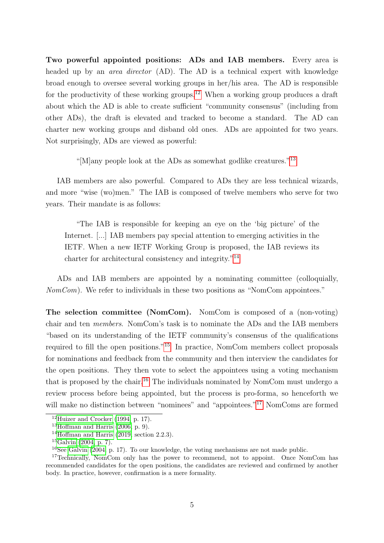Two powerful appointed positions: ADs and IAB members. Every area is headed up by an *area director* (AD). The AD is a technical expert with knowledge broad enough to oversee several working groups in her/his area. The AD is responsible for the productivity of these working groups.[12](#page-5-0) When a working group produces a draft about which the AD is able to create sufficient "community consensus" (including from other ADs), the draft is elevated and tracked to become a standard. The AD can charter new working groups and disband old ones. ADs are appointed for two years. Not surprisingly, ADs are viewed as powerful:

"[M]any people look at the ADs as somewhat godlike creatures."[13](#page-5-1)

IAB members are also powerful. Compared to ADs they are less technical wizards, and more "wise (wo)men." The IAB is composed of twelve members who serve for two years. Their mandate is as follows:

"The IAB is responsible for keeping an eye on the 'big picture' of the Internet. [...] IAB members pay special attention to emerging activities in the IETF. When a new IETF Working Group is proposed, the IAB reviews its charter for architectural consistency and integrity."[14](#page-5-2)

ADs and IAB members are appointed by a nominating committee (colloquially,  $NomCom)$ . We refer to individuals in these two positions as "NomCom appointees."

The selection committee (NomCom). NomCom is composed of a (non-voting) chair and ten members. NomCom's task is to nominate the ADs and the IAB members "based on its understanding of the IETF community's consensus of the qualifications required to fill the open positions."[15](#page-5-3) In practice, NomCom members collect proposals for nominations and feedback from the community and then interview the candidates for the open positions. They then vote to select the appointees using a voting mechanism that is proposed by the chair.[16](#page-5-4) The individuals nominated by NomCom must undergo a review process before being appointed, but the process is pro-forma, so henceforth we will make no distinction between "nominees" and "appointees."<sup>[17](#page-5-5)</sup> NomComs are formed

<span id="page-5-0"></span> $12$ [Huizer and Crocker](#page-18-8) [\(1994,](#page-18-8) p. 17).

<span id="page-5-1"></span> $13$ [Hoffman and Harris](#page-18-9) [\(2006,](#page-18-9) p. 9).

<span id="page-5-2"></span><sup>&</sup>lt;sup>14</sup>[Hoffman and Harris](#page-18-10)  $(2019, \text{ section } 2.2.3)$  $(2019, \text{ section } 2.2.3)$ .

<span id="page-5-3"></span> $^{15}$ [Galvin](#page-17-9) [\(2004,](#page-17-9) p. 7).

<span id="page-5-5"></span><span id="page-5-4"></span><sup>&</sup>lt;sup>16</sup>See [Galvin](#page-17-9) [\(2004,](#page-17-9) p. 17). To our knowledge, the voting mechanisms are not made public.

<sup>&</sup>lt;sup>17</sup>Technically, NomCom only has the power to recommend, not to appoint. Once NomCom has recommended candidates for the open positions, the candidates are reviewed and confirmed by another body. In practice, however, confirmation is a mere formality.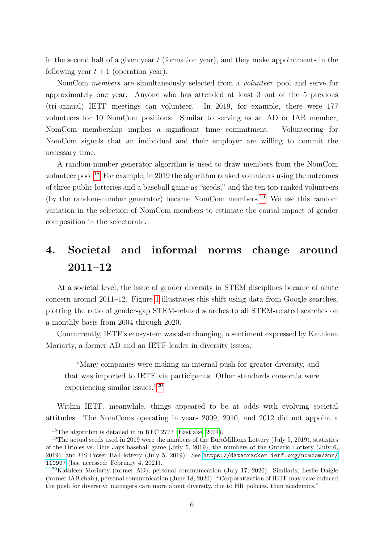in the second half of a given year  $t$  (formation year), and they make appointments in the following year  $t + 1$  (operation year).

NomCom members are simultaneously selected from a volunteer pool and serve for approximately one year. Anyone who has attended at least 3 out of the 5 previous (tri-annual) IETF meetings can volunteer. In 2019, for example, there were 177 volunteers for 10 NomCom positions. Similar to serving as an AD or IAB member, NomCom membership implies a significant time commitment. Volunteering for NomCom signals that an individual and their employer are willing to commit the necessary time.

A random-number generator algorithm is used to draw members from the NomCom volunteer pool.[18](#page-6-0) For example, in 2019 the algorithm ranked volunteers using the outcomes of three public lotteries and a baseball game as "seeds," and the ten top-ranked volunteers (by the random-number generator) became NomCom members.<sup>[19](#page-6-1)</sup> We use this random variation in the selection of NomCom members to estimate the causal impact of gender composition in the selectorate.

## 4. Societal and informal norms change around 2011–12

At a societal level, the issue of gender diversity in STEM disciplines became of acute concern around 2011–12. Figure [1](#page-7-0) illustrates this shift using data from Google searches, plotting the ratio of gender-gap STEM-related searches to all STEM-related searches on a monthly basis from 2004 through 2020.

Concurrently, IETF's ecosystem was also changing, a sentiment expressed by Kathleen Moriarty, a former AD and an IETF leader in diversity issues:

"Many companies were making an internal push for greater diversity, and that was imported to IETF via participants. Other standards consortia were experiencing similar issues."[20](#page-6-2)

Within IETF, meanwhile, things appeared to be at odds with evolving societal attitudes. The NomComs operating in years 2009, 2010, and 2012 did not appoint a

<span id="page-6-1"></span><span id="page-6-0"></span><sup>18</sup>The algorithm is detailed in in RFC 2777 [\(Eastlake, 2004\)](#page-17-10).

<sup>&</sup>lt;sup>19</sup>The actual seeds used in 2019 were the numbers of the EuroMillions Lottery (July 5, 2019), statistics of the Orioles vs. Blue Jays baseball game (July 5, 2019), the numbers of the Ontario Lottery (July 6, 2019), and US Power Ball lottery (July 5, 2019). See [https://datatracker.ietf.org/nomcom/ann/](https://datatracker.ietf.org/nomcom/ann/110997) [110997](https://datatracker.ietf.org/nomcom/ann/110997) (last accessed: February 4, 2021).

<span id="page-6-2"></span><sup>20</sup>Kathleen Moriarty (former AD), personal communication (July 17, 2020). Similarly, Leslie Daigle (former IAB chair), personal communication (June 18, 2020): "Corporatization of IETF may have induced the push for diversity: managers care more about diversity, due to HR policies, than academics."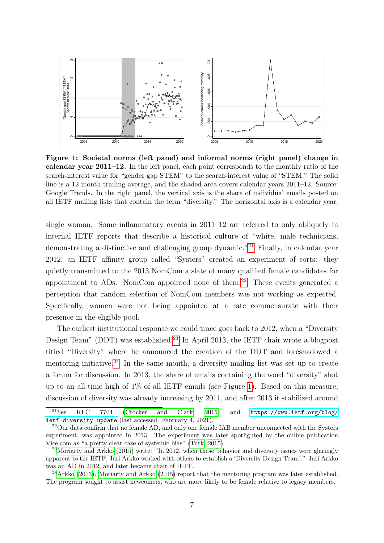<span id="page-7-0"></span>

Figure 1: Societal norms (left panel) and informal norms (right panel) change in calendar year 2011–12. In the left panel, each point corresponds to the monthly ratio of the search-interest value for "gender gap STEM" to the search-interest value of "STEM." The solid line is a 12 month trailing average, and the shaded area covers calendar years 2011–12. Source: Google Trends. In the right panel, the vertical axis is the share of individual emails posted on all IETF mailing lists that contain the term "diversity." The horizontal axis is a calendar year.

single woman. Some inflammatory events in 2011–12 are referred to only obliquely in internal IETF reports that describe a historical culture of "white, male technicians, demonstrating a distinctive and challenging group dynamic."[21](#page-7-1) Finally, in calendar year 2012, an IETF affinity group called "Systers" created an experiment of sorts: they quietly transmitted to the 2013 NomCom a slate of many qualified female candidates for appointment to ADs. NomCom appointed none of them.<sup>[22](#page-7-2)</sup> These events generated a perception that random selection of NomCom members was not working as expected. Specifically, women were not being appointed at a rate commensurate with their presence in the eligible pool.

The earliest institutional response we could trace goes back to 2012, when a "Diversity Design Team" (DDT) was established.<sup>[23](#page-7-3)</sup> In April 2013, the IETF chair wrote a blogpost titled "Diversity" where he announced the creation of the DDT and foreshadowed a mentoring initiative.<sup>[24](#page-7-4)</sup> In the same month, a diversity mailing list was set up to create a forum for discussion. In 2013, the share of emails containing the word "diversity" shot up to an all-time high of 1% of all IETF emails (see Figure [1\)](#page-7-0). Based on this measure, discussion of diversity was already increasing by 2011, and after 2013 it stabilized around

<span id="page-7-1"></span><sup>21</sup>See RFC 7704 [\(Crocker and Clark, 2015\)](#page-17-11) and [https://www.ietf.org/blog/](https://www.ietf.org/blog/ietf-diversity-update) [ietf-diversity-update](https://www.ietf.org/blog/ietf-diversity-update) (last accessed: February 4, 2021).

<span id="page-7-2"></span><sup>&</sup>lt;sup>22</sup>Our data confirm that no female AD, and only one female IAB member unconnected with the Systers experiment, was appointed in 2013. The experiment was later spotlighted by the online publication Vice.com as "a pretty clear case of systemic bias" [\(Turk, 2015\)](#page-18-11).

<span id="page-7-3"></span><sup>&</sup>lt;sup>23</sup>[Moriarty and Arkko](#page-18-12) [\(2015\)](#page-18-12) write: "In 2012, when these behavior and diversity issues were glaringly apparent to the IETF, Jari Arkko worked with others to establish a 'Diversity Design Team'." Jari Arkko was an AD in 2012, and later became chair of IETF.

<span id="page-7-4"></span><sup>24</sup>[Arkko](#page-17-12) [\(2013\)](#page-17-12). [Moriarty and Arkko](#page-18-12) [\(2015\)](#page-18-12) report that the mentoring program was later established. The program sought to assist newcomers, who are more likely to be female relative to legacy members.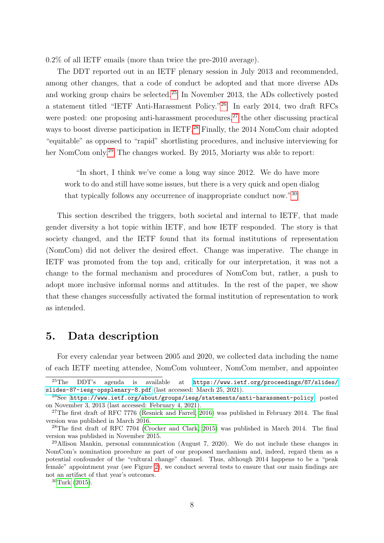0.2% of all IETF emails (more than twice the pre-2010 average).

The DDT reported out in an IETF plenary session in July 2013 and recommended, among other changes, that a code of conduct be adopted and that more diverse ADs and working group chairs be selected.<sup>[25](#page-8-0)</sup> In November 2013, the ADs collectively posted a statement titled "IETF Anti-Harassment Policy."[26](#page-8-1) In early 2014, two draft RFCs were posted: one proposing anti-harassment procedures,  $27$  the other discussing practical ways to boost diverse participation in IETF.<sup>[28](#page-8-3)</sup> Finally, the 2014 NomCom chair adopted "equitable" as opposed to "rapid" shortlisting procedures, and inclusive interviewing for her NomCom only.<sup>[29](#page-8-4)</sup> The changes worked. By 2015, Moriarty was able to report:

"In short, I think we've come a long way since 2012. We do have more work to do and still have some issues, but there is a very quick and open dialog that typically follows any occurrence of inappropriate conduct now."[30](#page-8-5)

This section described the triggers, both societal and internal to IETF, that made gender diversity a hot topic within IETF, and how IETF responded. The story is that society changed, and the IETF found that its formal institutions of representation (NomCom) did not deliver the desired effect. Change was imperative. The change in IETF was promoted from the top and, critically for our interpretation, it was not a change to the formal mechanism and procedures of NomCom but, rather, a push to adopt more inclusive informal norms and attitudes. In the rest of the paper, we show that these changes successfully activated the formal institution of representation to work as intended.

#### 5. Data description

For every calendar year between 2005 and 2020, we collected data including the name of each IETF meeting attendee, NomCom volunteer, NomCom member, and appointee

<span id="page-8-0"></span><sup>25</sup>The DDT's agenda is available at [https://www.ietf.org/proceedings/87/slides/](https://www.ietf.org/proceedings/87/slides/slides-87-iesg-opsplenary-8.pdf) [slides-87-iesg-opsplenary-8.pdf](https://www.ietf.org/proceedings/87/slides/slides-87-iesg-opsplenary-8.pdf) (last accessed: March 25, 2021).

<span id="page-8-1"></span><sup>26</sup>See <https://www.ietf.org/about/groups/iesg/statements/anti-harassment-policy>, posted on November 3, 2013 (last accessed: February 4, 2021).

<span id="page-8-2"></span><sup>&</sup>lt;sup>27</sup>The first draft of RFC 7776 [\(Resnick and Farrel, 2016\)](#page-18-13) was published in February 2014. The final version was published in March 2016.

<span id="page-8-3"></span><sup>28</sup>The first draft of RFC 7704 [\(Crocker and Clark, 2015\)](#page-17-11) was published in March 2014. The final version was published in November 2015.

<span id="page-8-4"></span> $^{29}$ Allison Mankin, personal communication (August 7, 2020). We do not include these changes in NomCom's nomination procedure as part of our proposed mechanism and, indeed, regard them as a potential confounder of the "cultural change" channel. Thus, although 2014 happens to be a "peak female" appointment year (see Figure [2\)](#page-9-0), we conduct several tests to ensure that our main findings are not an artifact of that year's outcomes.

<span id="page-8-5"></span> $30$ [Turk](#page-18-11) [\(2015\)](#page-18-11).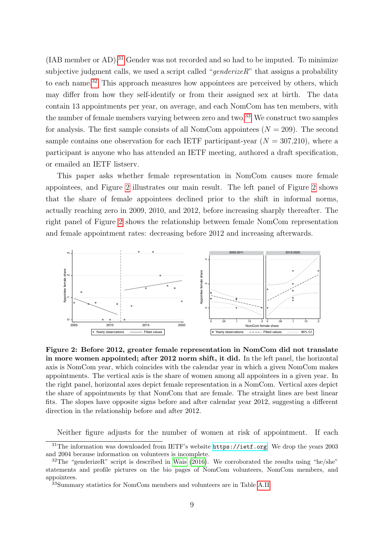(IAB member or AD).<sup>[31](#page-9-1)</sup> Gender was not recorded and so had to be imputed. To minimize subjective judgment calls, we used a script called "*genderizeR*" that assigns a probability to each name.<sup>[32](#page-9-2)</sup> This approach measures how appointees are perceived by others, which may differ from how they self-identify or from their assigned sex at birth. The data contain 13 appointments per year, on average, and each NomCom has ten members, with the number of female members varying between zero and two.<sup>[33](#page-9-3)</sup> We construct two samples for analysis. The first sample consists of all NomCom appointees  $(N = 209)$ . The second sample contains one observation for each IETF participant-year  $(N = 307,210)$ , where a participant is anyone who has attended an IETF meeting, authored a draft specification, or emailed an IETF listserv.

This paper asks whether female representation in NomCom causes more female appointees, and Figure [2](#page-9-0) illustrates our main result. The left panel of Figure [2](#page-9-0) shows that the share of female appointees declined prior to the shift in informal norms, actually reaching zero in 2009, 2010, and 2012, before increasing sharply thereafter. The right panel of Figure [2](#page-9-0) shows the relationship between female NomCom representation and female appointment rates: decreasing before 2012 and increasing afterwards.

<span id="page-9-0"></span>

Figure 2: Before 2012, greater female representation in NomCom did not translate in more women appointed; after 2012 norm shift, it did. In the left panel, the horizontal axis is NomCom year, which coincides with the calendar year in which a given NomCom makes appointments. The vertical axis is the share of women among all appointees in a given year. In the right panel, horizontal axes depict female representation in a NomCom. Vertical axes depict the share of appointments by that NomCom that are female. The straight lines are best linear fits. The slopes have opposite signs before and after calendar year 2012, suggesting a different direction in the relationship before and after 2012.

<span id="page-9-1"></span>Neither figure adjusts for the number of women at risk of appointment. If each

<sup>&</sup>lt;sup>31</sup>The information was downloaded from IETF's website <https://ietf.org>. We drop the years 2003 and 2004 because information on volunteers is incomplete.

<span id="page-9-2"></span><sup>32</sup>The "genderizeR" script is described in [Wais](#page-18-14) [\(2016\)](#page-18-14). We corroborated the results using "he/she" statements and profile pictures on the bio pages of NomCom volunteers, NomCom members, and appointees.

<span id="page-9-3"></span><sup>33</sup>Summary statistics for NomCom members and volunteers are in Table [A.II.](#page-20-0)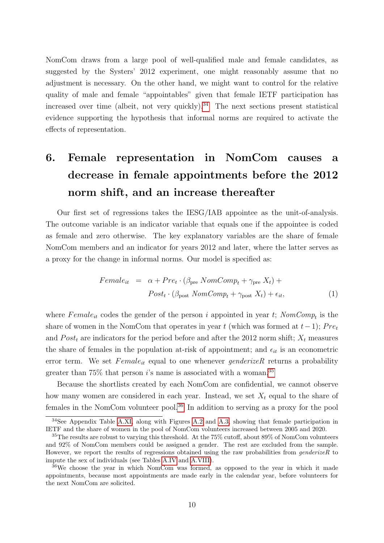NomCom draws from a large pool of well-qualified male and female candidates, as suggested by the Systers' 2012 experiment, one might reasonably assume that no adjustment is necessary. On the other hand, we might want to control for the relative quality of male and female "appointables" given that female IETF participation has increased over time (albeit, not very quickly).<sup>[34](#page-10-0)</sup> The next sections present statistical evidence supporting the hypothesis that informal norms are required to activate the effects of representation.

# 6. Female representation in NomCom causes a decrease in female appointments before the 2012 norm shift, and an increase thereafter

Our first set of regressions takes the IESG/IAB appointee as the unit-of-analysis. The outcome variable is an indicator variable that equals one if the appointee is coded as female and zero otherwise. The key explanatory variables are the share of female NomCom members and an indicator for years 2012 and later, where the latter serves as a proxy for the change in informal norms. Our model is specified as:

<span id="page-10-3"></span>
$$
Female_{it} = \alpha + Pre_t \cdot (\beta_{pre} \, NomComp_t + \gamma_{pre} \, X_t) +
$$
\n
$$
Post_t \cdot (\beta_{post} \, NomComp_t + \gamma_{post} \, X_t) + \epsilon_{it}, \tag{1}
$$

where  $Female_{it}$  codes the gender of the person i appointed in year t;  $NomComp_t$  is the share of women in the NomCom that operates in year t (which was formed at  $t-1$ ); Pret and  $Post<sub>t</sub>$  are indicators for the period before and after the 2012 norm shift;  $X<sub>t</sub>$  measures the share of females in the population at-risk of appointment; and  $\epsilon_{it}$  is an econometric error term. We set  $Female_{it}$  equal to one whenever *genderizeR* returns a probability greater than  $75\%$  that person i's name is associated with a woman.<sup>[35](#page-10-1)</sup>

Because the shortlists created by each NomCom are confidential, we cannot observe how many women are considered in each year. Instead, we set  $X_t$  equal to the share of females in the NomCom volunteer pool.<sup>[36](#page-10-2)</sup> In addition to serving as a proxy for the pool

<span id="page-10-0"></span><sup>&</sup>lt;sup>34</sup>See Appendix Table [A.XI,](#page-29-0) along with Figures [A.2](#page-31-0) and [A.3,](#page-32-0) showing that female participation in IETF and the share of women in the pool of NomCom volunteers increased between 2005 and 2020.

<span id="page-10-1"></span><sup>35</sup>The results are robust to varying this threshold. At the 75% cutoff, about 89% of NomCom volunteers and 92% of NomCom members could be assigned a gender. The rest are excluded from the sample. However, we report the results of regressions obtained using the raw probabilities from  $\mathfrak{g}$ enderizeR to impute the sex of individuals (see Tables [A.IV](#page-22-0) and [A.VIII\)](#page-26-0).

<span id="page-10-2"></span><sup>36</sup>We choose the year in which NomCom was formed, as opposed to the year in which it made appointments, because most appointments are made early in the calendar year, before volunteers for the next NomCom are solicited.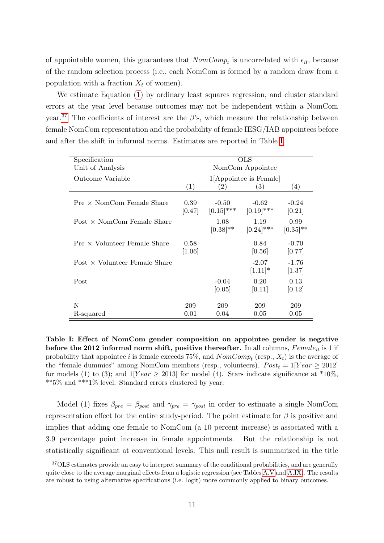of appointable women, this guarantees that  $NomComp_t$  is uncorrelated with  $\epsilon_{it}$ , because of the random selection process (i.e., each NomCom is formed by a random draw from a population with a fraction  $X_t$  of women).

We estimate Equation [\(1\)](#page-10-3) by ordinary least squares regression, and cluster standard errors at the year level because outcomes may not be independent within a NomCom year.<sup>[37](#page-11-0)</sup> The coefficients of interest are the  $\beta$ 's, which measure the relationship between female NomCom representation and the probability of female IESG/IAB appointees before and after the shift in informal norms. Estimates are reported in Table [I.](#page-11-1)

<span id="page-11-1"></span>

| Specification                       | <b>OLS</b>       |               |                           |             |  |
|-------------------------------------|------------------|---------------|---------------------------|-------------|--|
| Unit of Analysis                    | NomCom Appointee |               |                           |             |  |
| Outcome Variable                    |                  |               | $1$ [Appointee is Female] |             |  |
|                                     | (1)              | (2)           | (3)                       | (4)         |  |
|                                     |                  |               |                           |             |  |
| $Pre \times NomCom$ Female Share    | 0.39             | $-0.50$       | $-0.62$                   | $-0.24$     |  |
|                                     | [0.47]           | $[0.15]$ ***  | $[0.19]$ ***              | [0.21]      |  |
| Post $\times$ NomCom Female Share   |                  | 1.08          | 1.19                      | 0.99        |  |
|                                     |                  | $[0.38]^{**}$ | $[0.24]$ ***              | $[0.35]$ ** |  |
|                                     |                  |               |                           |             |  |
| $Pre \times$ Volunteer Female Share | 0.58             |               | 0.84                      | $-0.70$     |  |
|                                     | [1.06]           |               | [0.56]                    | [0.77]      |  |
| $Post \times Volume$                |                  |               | $-2.07$                   | $-1.76$     |  |
|                                     |                  |               | $[1.11]*$                 | $[1.37]$    |  |
|                                     |                  |               |                           |             |  |
| Post                                |                  | $-0.04$       | 0.20                      | 0.13        |  |
|                                     |                  | [0.05]        | [0.11]                    | [0.12]      |  |
|                                     |                  |               |                           |             |  |
| N                                   | 209              | 209           | 209                       | 209         |  |
| R-squared                           | 0.01             | 0.04          | 0.05                      | 0.05        |  |

Table I: Effect of NomCom gender composition on appointee gender is negative before the 2012 informal norm shift, positive thereafter. In all columns,  $Female_{it}$  is 1 if probability that appointee i is female exceeds 75%, and  $NomComp_t$  (resp.,  $X_t$ ) is the average of the "female dummies" among NomCom members (resp., volunteers).  $Post<sub>t</sub> = 1$ [Year  $\geq 2012$ ] for models (1) to (3); and  $1$ [Year  $\geq$  2013] for model (4). Stars indicate significance at \*10%, \*\*5% and \*\*\*1% level. Standard errors clustered by year.

Model (1) fixes  $\beta_{pre} = \beta_{post}$  and  $\gamma_{pre} = \gamma_{post}$  in order to estimate a single NomCom representation effect for the entire study-period. The point estimate for  $\beta$  is positive and implies that adding one female to NomCom (a 10 percent increase) is associated with a 3.9 percentage point increase in female appointments. But the relationship is not statistically significant at conventional levels. This null result is summarized in the title

<span id="page-11-0"></span><sup>&</sup>lt;sup>37</sup>OLS estimates provide an easy to interpret summary of the conditional probabilities, and are generally quite close to the average marginal effects from a logistic regression (see Tables [A.V](#page-23-0) and [A.IX\)](#page-27-0). The results are robust to using alternative specifications (i.e. logit) more commonly applied to binary outcomes.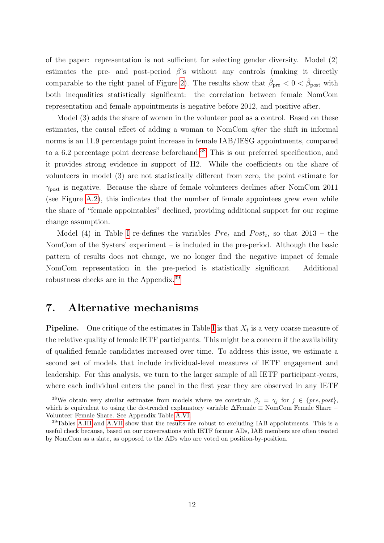of the paper: representation is not sufficient for selecting gender diversity. Model (2) estimates the pre- and post-period  $\beta$ 's without any controls (making it directly comparable to the right panel of Figure [2\)](#page-9-0). The results show that  $\hat{\beta}_{pre} < 0 < \hat{\beta}_{post}$  with both inequalities statistically significant: the correlation between female NomCom representation and female appointments is negative before 2012, and positive after.

Model (3) adds the share of women in the volunteer pool as a control. Based on these estimates, the causal effect of adding a woman to NomCom *after* the shift in informal norms is an 11.9 percentage point increase in female IAB/IESG appointments, compared to a 6.2 percentage point decrease beforehand.<sup>[38](#page-12-0)</sup> This is our preferred specification, and it provides strong evidence in support of H2. While the coefficients on the share of volunteers in model (3) are not statistically different from zero, the point estimate for  $\gamma_{\text{post}}$  is negative. Because the share of female volunteers declines after NomCom 2011 (see Figure [A.2\)](#page-31-0), this indicates that the number of female appointees grew even while the share of "female appointables" declined, providing additional support for our regime change assumption.

Model (4) in Table [I](#page-11-1) re-defines the variables  $Pre_t$  and  $Post_t$ , so that 2013 – the NomCom of the Systers' experiment – is included in the pre-period. Although the basic pattern of results does not change, we no longer find the negative impact of female NomCom representation in the pre-period is statistically significant. Additional robustness checks are in the Appendix.[39](#page-12-1)

#### 7. Alternative mechanisms

**Pipeline.** One critique of the estimates in Table [I](#page-11-1) is that  $X_t$  is a very coarse measure of the relative quality of female IETF participants. This might be a concern if the availability of qualified female candidates increased over time. To address this issue, we estimate a second set of models that include individual-level measures of IETF engagement and leadership. For this analysis, we turn to the larger sample of all IETF participant-years, where each individual enters the panel in the first year they are observed in any IETF

<span id="page-12-0"></span><sup>&</sup>lt;sup>38</sup>We obtain very similar estimates from models where we constrain  $\beta_j = \gamma_j$  for  $j \in \{pre, post\}$ , which is equivalent to using the de-trended explanatory variable ∆Female ≡ NomCom Female Share − Volunteer Female Share. See Appendix Table [A.VI.](#page-24-0)

<span id="page-12-1"></span><sup>&</sup>lt;sup>39</sup>Tables [A.III](#page-21-0) and [A.VII](#page-25-0) show that the results are robust to excluding IAB appointments. This is a useful check because, based on our conversations with IETF former ADs, IAB members are often treated by NomCom as a slate, as opposed to the ADs who are voted on position-by-position.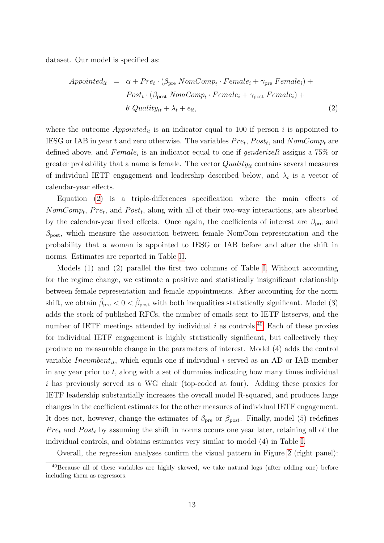dataset. Our model is specified as:

<span id="page-13-0"></span>
$$
Appointed_{it} = \alpha + Pre_t \cdot (\beta_{\text{pre}} \, NomComp_t \cdot Female_i + \gamma_{\text{pre}} \, Female_i) +
$$
\n
$$
Post_t \cdot (\beta_{\text{post}} \, NomComp_t \cdot Female_i + \gamma_{\text{post}} \, Female_i) +
$$
\n
$$
\theta \, Quality_{it} + \lambda_t + \epsilon_{it}, \tag{2}
$$

where the outcome  $Appointed_{it}$  is an indicator equal to 100 if person i is appointed to IESG or IAB in year t and zero otherwise. The variables  $Pre_t$ ,  $Post_t$ , and  $NomComp_t$  are defined above, and  $Female_i$  is an indicator equal to one if  $genderizeR$  assigns a 75% or greater probability that a name is female. The vector  $Quality_{it}$  contains several measures of individual IETF engagement and leadership described below, and  $\lambda_t$  is a vector of calendar-year effects.

Equation [\(2\)](#page-13-0) is a triple-differences specification where the main effects of  $NomComp_t$ ,  $Pre_t$ , and  $Post_t$ , along with all of their two-way interactions, are absorbed by the calendar-year fixed effects. Once again, the coefficients of interest are  $\beta_{pre}$  and  $\beta_{\text{post}}$ , which measure the association between female NomCom representation and the probability that a woman is appointed to IESG or IAB before and after the shift in norms. Estimates are reported in Table [II.](#page-14-0)

Models (1) and (2) parallel the first two columns of Table [I.](#page-11-1) Without accounting for the regime change, we estimate a positive and statistically insignificant relationship between female representation and female appointments. After accounting for the norm shift, we obtain  $\hat{\beta}_{pre} < 0 < \hat{\beta}_{post}$  with both inequalities statistically significant. Model (3) adds the stock of published RFCs, the number of emails sent to IETF listservs, and the number of IETF meetings attended by individual  $i$  as controls.<sup>[40](#page-13-1)</sup> Each of these proxies for individual IETF engagement is highly statistically significant, but collectively they produce no measurable change in the parameters of interest. Model (4) adds the control variable Incumbent<sub>it</sub>, which equals one if individual i served as an AD or IAB member in any year prior to  $t$ , along with a set of dummies indicating how many times individual i has previously served as a WG chair (top-coded at four). Adding these proxies for IETF leadership substantially increases the overall model R-squared, and produces large changes in the coefficient estimates for the other measures of individual IETF engagement. It does not, however, change the estimates of  $\beta_{\text{pre}}$  or  $\beta_{\text{post}}$ . Finally, model (5) redefines  $Pre<sub>t</sub>$  and  $Post<sub>t</sub>$  by assuming the shift in norms occurs one year later, retaining all of the individual controls, and obtains estimates very similar to model (4) in Table [I.](#page-11-1)

Overall, the regression analyses confirm the visual pattern in Figure [2](#page-9-0) (right panel):

<span id="page-13-1"></span><sup>&</sup>lt;sup>40</sup>Because all of these variables are highly skewed, we take natural logs (after adding one) before including them as regressors.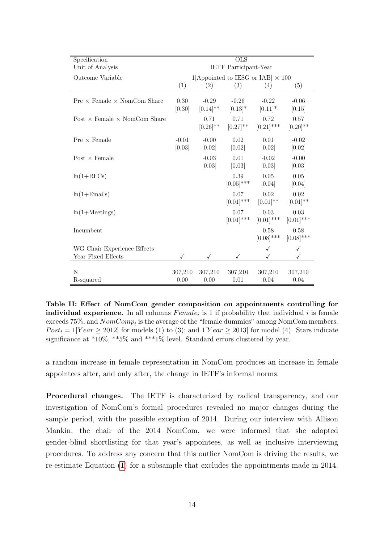<span id="page-14-0"></span>

| Specification                              | $\overline{\text{OLS}}$ |                          |                              |                                          |                       |  |  |
|--------------------------------------------|-------------------------|--------------------------|------------------------------|------------------------------------------|-----------------------|--|--|
| Unit of Analysis                           |                         |                          | <b>IETF</b> Participant-Year |                                          |                       |  |  |
| Outcome Variable                           |                         |                          |                              | 1[Appointed to IESG or IAB] $\times$ 100 |                       |  |  |
|                                            | (1)                     | (2)                      | (3)                          | (4)                                      | (5)                   |  |  |
| $Pre \times Female \times NomCom$ Share    | 0.30<br>[0.30]          | $-0.29$<br>$[0.14]^{**}$ | $-0.26$<br>$[0.13]*$         | $-0.22$<br>$[0.11]*$                     | $-0.06$<br>[0.15]     |  |  |
| Post $\times$ Female $\times$ NomCom Share |                         | 0.71<br>$[0.26]^{**}$    | 0.71<br>$[0.27]^{**}$        | 0.72<br>$[0.21]$ ***                     | 0.57<br>$[0.20]^{**}$ |  |  |
| $Pre \times Female$                        | $-0.01$<br>[0.03]       | $-0.00$<br>[0.02]        | 0.02<br>[0.02]               | 0.01<br>[0.02]                           | $-0.02$<br>[0.02]     |  |  |
| Post $\times$ Female                       |                         | $-0.03$<br>[0.03]        | 0.01<br>[0.03]               | $-0.02$<br>[0.03]                        | $-0.00$<br>[0.03]     |  |  |
| $ln(1+RFCs)$                               |                         |                          | 0.39<br>$[0.05]$ ***         | 0.05<br>[0.04]                           | 0.05<br>[0.04]        |  |  |
| $ln(1 + Emails)$                           |                         |                          | 0.07<br>$[0.01]$ ***         | 0.02<br>$[0.01]$ **                      | 0.02<br>$[0.01]^{**}$ |  |  |
| $ln(1+Meetings)$                           |                         |                          | 0.07<br>$[0.01]$ ***         | 0.03<br>$[0.01]$ ***                     | 0.03<br>$[0.01]$ ***  |  |  |
| Incumbent                                  |                         |                          |                              | 0.58<br>$[0.08]$ ***                     | 0.58<br>$[0.08]$ ***  |  |  |
| WG Chair Experience Effects                |                         |                          |                              | ✓                                        | ✓                     |  |  |
| Year Fixed Effects                         |                         |                          |                              | ✓                                        | ✓                     |  |  |
| N<br>R-squared                             | 307,210<br>0.00         | 307,210<br>0.00          | 307,210<br>0.01              | 307,210<br>0.04                          | 307,210<br>0.04       |  |  |

Table II: Effect of NomCom gender composition on appointments controlling for **individual experience.** In all columns  $Female_i$  is 1 if probability that individual i is female exceeds 75%, and  $NomComp_t$  is the average of the "female dummies" among NomCom members.  $Post<sub>t</sub> = 1$ [Year  $\geq 2012$ ] for models (1) to (3); and  $1$ [Year  $\geq 2013$ ] for model (4). Stars indicate significance at \*10%, \*\*5% and \*\*\*1% level. Standard errors clustered by year.

a random increase in female representation in NomCom produces an increase in female appointees after, and only after, the change in IETF's informal norms.

Procedural changes. The IETF is characterized by radical transparency, and our investigation of NomCom's formal procedures revealed no major changes during the sample period, with the possible exception of 2014. During our interview with Allison Mankin, the chair of the 2014 NomCom, we were informed that she adopted gender-blind shortlisting for that year's appointees, as well as inclusive interviewing procedures. To address any concern that this outlier NomCom is driving the results, we re-estimate Equation [\(1\)](#page-10-3) for a subsample that excludes the appointments made in 2014.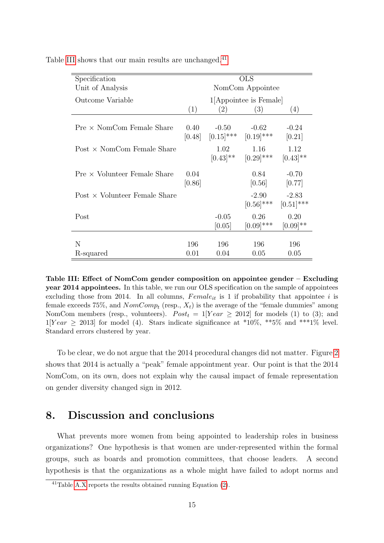| Specification                     | <b>OLS</b>       |                         |                         |                         |  |
|-----------------------------------|------------------|-------------------------|-------------------------|-------------------------|--|
| Unit of Analysis                  | NomCom Appointee |                         |                         |                         |  |
| Outcome Variable                  |                  |                         | 1 Appointee is Female   |                         |  |
|                                   | (1)              | (2)                     | (3)                     | (4)                     |  |
| $Pre \times NomCom$ Female Share  | 0.40<br>[0.48]   | $-0.50$<br>$[0.15]$ *** | $-0.62$<br>$[0.19]$ *** | $-0.24$<br>[0.21]       |  |
| Post $\times$ NomCom Female Share |                  | 1.02<br>$[0.43]$ **     | 1.16<br>$[0.29]$ ***    | 1.12<br>$[0.43]$ **     |  |
| $Pre \times Volume$               | 0.04<br>[0.86]   |                         | 0.84<br>[0.56]          | $-0.70$<br>[0.77]       |  |
| $Post \times Volume$ Female Share |                  |                         | $-2.90$<br>$[0.56]$ *** | $-2.83$<br>$[0.51]$ *** |  |
| Post                              |                  | $-0.05$<br>[0.05]       | 0.26<br>$[0.09]$ ***    | 0.20<br>$[0.09]$ **     |  |
| N<br>R-squared                    | 196<br>0.01      | 196<br>0.04             | 196<br>0.05             | 196<br>0.05             |  |

<span id="page-15-0"></span>Table [III](#page-15-0) shows that our main results are unchanged.<sup>[41](#page-15-1)</sup>

Table III: Effect of NomCom gender composition on appointee gender – Excluding year 2014 appointees. In this table, we run our OLS specification on the sample of appointees excluding those from 2014. In all columns,  $Female_{it}$  is 1 if probability that appointee i is female exceeds 75%, and  $NomComp_t$  (resp.,  $X_t$ ) is the average of the "female dummies" among NomCom members (resp., volunteers).  $Post_t = 1$ [Year  $\ge 2012$ ] for models (1) to (3); and  $1[Year \ge 2013]$  for model (4). Stars indicate significance at \*10\%, \*\*5\% and \*\*\*1\% level. Standard errors clustered by year.

To be clear, we do not argue that the 2014 procedural changes did not matter. Figure [2](#page-9-0) shows that 2014 is actually a "peak" female appointment year. Our point is that the 2014 NomCom, on its own, does not explain why the causal impact of female representation on gender diversity changed sign in 2012.

#### 8. Discussion and conclusions

What prevents more women from being appointed to leadership roles in business organizations? One hypothesis is that women are under-represented within the formal groups, such as boards and promotion committees, that choose leaders. A second hypothesis is that the organizations as a whole might have failed to adopt norms and

<span id="page-15-1"></span> $^{41}$ Table [A.X](#page-28-0) reports the results obtained running Equation [\(2\)](#page-13-0).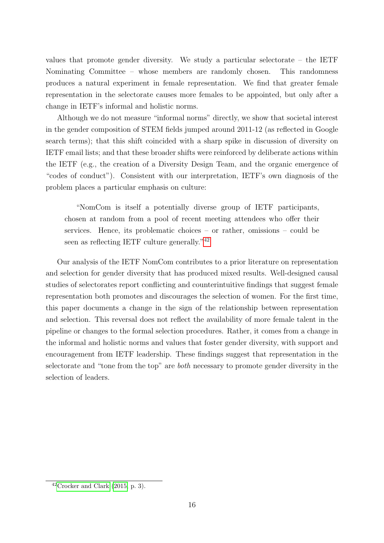values that promote gender diversity. We study a particular selectorate – the IETF Nominating Committee – whose members are randomly chosen. This randomness produces a natural experiment in female representation. We find that greater female representation in the selectorate causes more females to be appointed, but only after a change in IETF's informal and holistic norms.

Although we do not measure "informal norms" directly, we show that societal interest in the gender composition of STEM fields jumped around 2011-12 (as reflected in Google search terms); that this shift coincided with a sharp spike in discussion of diversity on IETF email lists; and that these broader shifts were reinforced by deliberate actions within the IETF (e.g., the creation of a Diversity Design Team, and the organic emergence of "codes of conduct"). Consistent with our interpretation, IETF's own diagnosis of the problem places a particular emphasis on culture:

"NomCom is itself a potentially diverse group of IETF participants, chosen at random from a pool of recent meeting attendees who offer their services. Hence, its problematic choices – or rather, omissions – could be seen as reflecting IETF culture generally."[42](#page-16-0)

Our analysis of the IETF NomCom contributes to a prior literature on representation and selection for gender diversity that has produced mixed results. Well-designed causal studies of selectorates report conflicting and counterintuitive findings that suggest female representation both promotes and discourages the selection of women. For the first time, this paper documents a change in the sign of the relationship between representation and selection. This reversal does not reflect the availability of more female talent in the pipeline or changes to the formal selection procedures. Rather, it comes from a change in the informal and holistic norms and values that foster gender diversity, with support and encouragement from IETF leadership. These findings suggest that representation in the selectorate and "tone from the top" are both necessary to promote gender diversity in the selection of leaders.

<span id="page-16-0"></span> $42C$ rocker and Clark [\(2015,](#page-17-11) p. 3).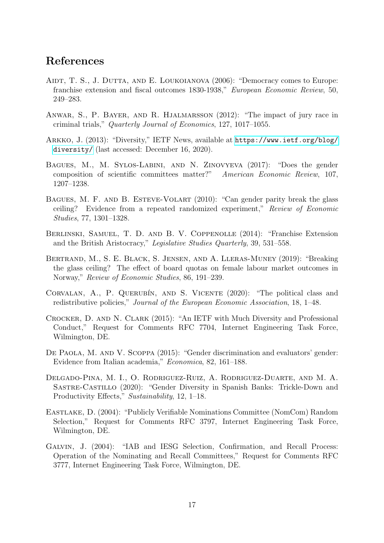### References

- <span id="page-17-2"></span>AIDT, T. S., J. DUTTA, AND E. LOUKOIANOVA (2006): "Democracy comes to Europe: franchise extension and fiscal outcomes 1830-1938," European Economic Review, 50, 249–283.
- <span id="page-17-3"></span>Anwar, S., P. Bayer, and R. Hjalmarsson (2012): "The impact of jury race in criminal trials," Quarterly Journal of Economics, 127, 1017–1055.
- <span id="page-17-12"></span>Arkko, J. (2013): "Diversity," IETF News, available at [https://www.ietf.org/blog/](https://www.ietf.org/blog/diversity/) [diversity/](https://www.ietf.org/blog/diversity/) (last accessed: December 16, 2020).
- <span id="page-17-5"></span>Bagues, M., M. Sylos-Labini, and N. Zinovyeva (2017): "Does the gender composition of scientific committees matter?" American Economic Review, 107, 1207–1238.
- <span id="page-17-4"></span>Bagues, M. F. and B. Esteve-Volart (2010): "Can gender parity break the glass ceiling? Evidence from a repeated randomized experiment," Review of Economic Studies, 77, 1301–1328.
- <span id="page-17-0"></span>Berlinski, Samuel, T. D. and B. V. Coppenolle (2014): "Franchise Extension and the British Aristocracy," Legislative Studies Quarterly, 39, 531–558.
- <span id="page-17-7"></span>Bertrand, M., S. E. Black, S. Jensen, and A. Lleras-Muney (2019): "Breaking the glass ceiling? The effect of board quotas on female labour market outcomes in Norway," Review of Economic Studies, 86, 191–239.
- <span id="page-17-1"></span>CORVALAN, A., P. QUERUBÍN, AND S. VICENTE (2020): "The political class and redistributive policies," Journal of the European Economic Association, 18, 1–48.
- <span id="page-17-11"></span>Crocker, D. and N. Clark (2015): "An IETF with Much Diversity and Professional Conduct," Request for Comments RFC 7704, Internet Engineering Task Force, Wilmington, DE.
- <span id="page-17-6"></span>DE PAOLA, M. AND V. SCOPPA (2015): "Gender discrimination and evaluators' gender: Evidence from Italian academia," Economica, 82, 161–188.
- <span id="page-17-8"></span>Delgado-Pina, M. I., O. Rodriguez-Ruiz, A. Rodriguez-Duarte, and M. A. Sastre-Castillo (2020): "Gender Diversity in Spanish Banks: Trickle-Down and Productivity Effects," Sustainability, 12, 1–18.
- <span id="page-17-10"></span>Eastlake, D. (2004): "Publicly Verifiable Nominations Committee (NomCom) Random Selection," Request for Comments RFC 3797, Internet Engineering Task Force, Wilmington, DE.
- <span id="page-17-9"></span>Galvin, J. (2004): "IAB and IESG Selection, Confirmation, and Recall Process: Operation of the Nominating and Recall Committees," Request for Comments RFC 3777, Internet Engineering Task Force, Wilmington, DE.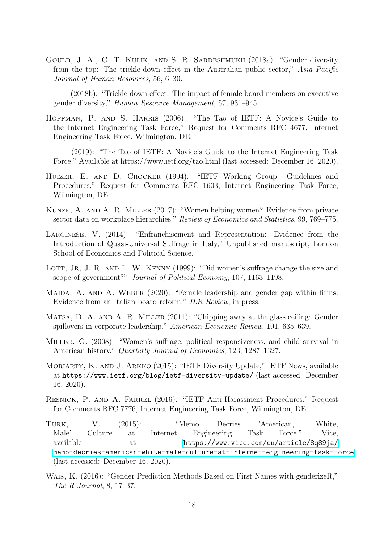<span id="page-18-3"></span>Gould, J. A., C. T. Kulik, and S. R. Sardeshmukh (2018a): "Gender diversity from the top: The trickle-down effect in the Australian public sector," Asia Pacific Journal of Human Resources, 56, 6–30.

<span id="page-18-4"></span> $-$  (2018b): "Trickle-down effect: The impact of female board members on executive gender diversity," Human Resource Management, 57, 931–945.

- <span id="page-18-9"></span>HOFFMAN, P. AND S. HARRIS (2006): "The Tao of IETF: A Novice's Guide to the Internet Engineering Task Force," Request for Comments RFC 4677, Internet Engineering Task Force, Wilmington, DE.
- <span id="page-18-10"></span> $-$  (2019): "The Tao of IETF: A Novice's Guide to the Internet Engineering Task Force," Available at https://www.ietf.org/tao.html (last accessed: December 16, 2020).
- <span id="page-18-8"></span>Huizer, E. and D. Crocker (1994): "IETF Working Group: Guidelines and Procedures," Request for Comments RFC 1603, Internet Engineering Task Force, Wilmington, DE.
- <span id="page-18-5"></span>Kunze, A. and A. R. Miller (2017): "Women helping women? Evidence from private sector data on workplace hierarchies," Review of Economics and Statistics, 99, 769–775.
- <span id="page-18-0"></span>Larcinese, V. (2014): "Enfranchisement and Representation: Evidence from the Introduction of Quasi-Universal Suffrage in Italy," Unpublished manuscript, London School of Economics and Political Science.
- <span id="page-18-1"></span>LOTT, JR, J. R. AND L. W. KENNY (1999): "Did women's suffrage change the size and scope of government?" Journal of Political Economy, 107, 1163–1198.
- <span id="page-18-6"></span>MAIDA, A. AND A. WEBER (2020): "Female leadership and gender gap within firms: Evidence from an Italian board reform," ILR Review, in press.
- <span id="page-18-7"></span>MATSA, D. A. AND A. R. MILLER (2011): "Chipping away at the glass ceiling: Gender spillovers in corporate leadership," American Economic Review, 101, 635–639.
- <span id="page-18-2"></span>Miller, G. (2008): "Women's suffrage, political responsiveness, and child survival in American history," Quarterly Journal of Economics, 123, 1287–1327.
- <span id="page-18-12"></span>Moriarty, K. and J. Arkko (2015): "IETF Diversity Update," IETF News, available at <https://www.ietf.org/blog/ietf-diversity-update/> (last accessed: December 16, 2020).
- <span id="page-18-13"></span>Resnick, P. and A. Farrel (2016): "IETF Anti-Harassment Procedures," Request for Comments RFC 7776, Internet Engineering Task Force, Wilmington, DE.
- <span id="page-18-11"></span>Turk, V. (2015): "Memo Decries 'American, White, Male' Culture at Internet Engineering Task Force," Vice, available at [https://www.vice.com/en/article/8q89ja/](https://www.vice.com/en/article/8q89ja/memo-decries-american-white-male-culture-at-internet-engineering-task-force) [memo-decries-american-white-male-culture-at-internet-engineering-task-force](https://www.vice.com/en/article/8q89ja/memo-decries-american-white-male-culture-at-internet-engineering-task-force) (last accessed: December 16, 2020).
- <span id="page-18-14"></span>Wais, K. (2016): "Gender Prediction Methods Based on First Names with genderizeR," The R Journal, 8, 17–37.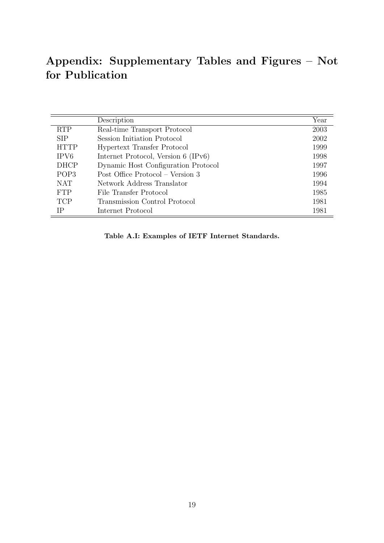## Appendix: Supplementary Tables and Figures – Not for Publication

<span id="page-19-0"></span>

|                  | Description                         | Year |
|------------------|-------------------------------------|------|
| <b>RTP</b>       | Real-time Transport Protocol        | 2003 |
| <b>SIP</b>       | Session Initiation Protocol         | 2002 |
| <b>HTTP</b>      | Hypertext Transfer Protocol         | 1999 |
| IPV <sub>6</sub> | Internet Protocol, Version 6 (IPv6) | 1998 |
| <b>DHCP</b>      | Dynamic Host Configuration Protocol | 1997 |
| POP <sub>3</sub> | Post Office Protocol – Version 3    | 1996 |
| <b>NAT</b>       | Network Address Translator          | 1994 |
| <b>FTP</b>       | File Transfer Protocol              | 1985 |
| <b>TCP</b>       | Transmission Control Protocol       | 1981 |
| IΡ               | Internet Protocol                   | 1981 |

Table A.I: Examples of IETF Internet Standards.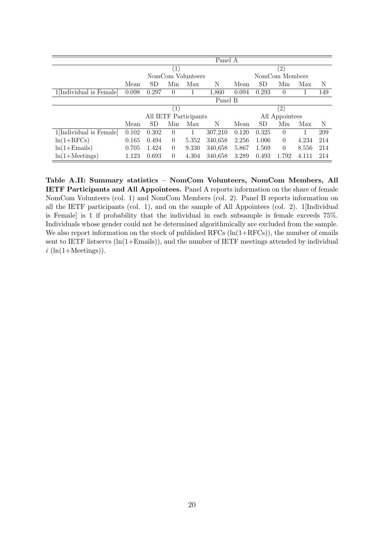<span id="page-20-0"></span>

|                         | Panel A |           |                   |                       |         |                   |       |                |       |     |
|-------------------------|---------|-----------|-------------------|-----------------------|---------|-------------------|-------|----------------|-------|-----|
|                         |         |           | $\left( 1\right)$ |                       |         | $^{(2)}$          |       |                |       |     |
|                         |         |           |                   | NomCom Volunteers     |         |                   |       | NomCom Members |       |     |
|                         | Mean    | SD        | Min               | Max                   | Ν       | Mean              | SD    | Min            | Max   | N   |
| 1[Individual is Female] | 0.098   | 0.297     | $\theta$          |                       | 1,860   | 0.094             | 0.293 | $\theta$       |       | 149 |
|                         |         |           |                   |                       | Panel B |                   |       |                |       |     |
|                         |         |           | (1)               |                       |         | $\left( 2\right)$ |       |                |       |     |
|                         |         |           |                   | All IETF Participants |         | All Appointees    |       |                |       |     |
|                         | Mean    | <b>SD</b> | Min               | Max                   | N       | Mean              | SD    | Min            | Max   | N   |
| 1[Individual is Female] | 0.102   | 0.302     | $\theta$          |                       | 307,210 | 0.120             | 0.325 | $\Omega$       |       | 209 |
| $ln(1+RFCs)$            | 0.165   | 0.494     | $\theta$          | 5.352                 | 340,658 | 2.256             | 1.006 | $\theta$       | 4.234 | 214 |
| $ln(1 + Emails)$        | 0.705   | 1.424     | $\theta$          | 9.330                 | 340,658 | 5.867             | 1.569 | $\Omega$       | 8.556 | 214 |
| $ln(1+Meetings)$        | 1.123   | 0.693     | $\theta$          | 4.304                 | 340,658 | 3.289             | 0.493 | 1.792          | 4.111 | 214 |

Table A.II: Summary statistics – NomCom Volunteers, NomCom Members, All IETF Participants and All Appointees. Panel A reports information on the share of female NomCom Volunteers (col. 1) and NomCom Members (col. 2). Panel B reports information on all the IETF participants (col. 1), and on the sample of All Appointees (col. 2). 1[Individual is Female] is 1 if probability that the individual in each subsample is female exceeds 75%. Individuals whose gender could not be determined algorithmically are excluded from the sample. We also report information on the stock of published RFCs  $(\ln(1+RFCs))$ , the number of emails sent to IETF listservs  $(ln(1+Emails))$ , and the number of IETF meetings attended by individual  $i$  (ln(1+Meetings)).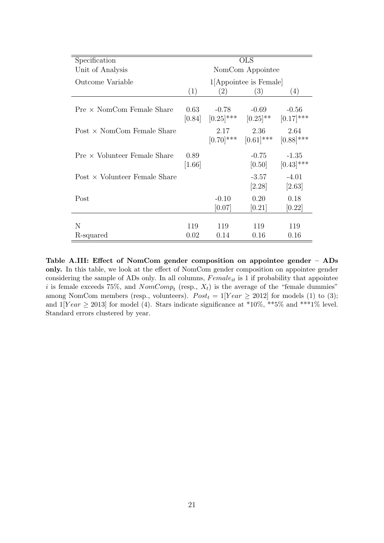<span id="page-21-0"></span>

| Specification                        | <b>OLS</b>       |                         |                                     |                         |
|--------------------------------------|------------------|-------------------------|-------------------------------------|-------------------------|
| Unit of Analysis                     | NomCom Appointee |                         |                                     |                         |
| Outcome Variable                     |                  |                         | 1 <sup>[</sup> Appointee is Female] |                         |
|                                      | (1)              | (2)                     | (3)                                 | (4)                     |
| $Pre \times NomCom$ Female Share     | 0.63<br>[0.84]   | $-0.78$<br>$[0.25]$ *** | $-0.69$<br>$[0.25]^{**}$            | $-0.56$<br>$[0.17]$ *** |
| Post $\times$ NomCom Female Share    |                  | 2.17<br>$[0.70]$ ***    | 2.36<br>$[0.61]$ ***                | 2.64<br>$[0.88]$ ***    |
| $Pre \times Volume$                  | 0.89<br>$[1.66]$ |                         | $-0.75$<br>[0.50]                   | $-1.35$<br>$[0.43]$ *** |
| Post $\times$ Volunteer Female Share |                  |                         | $-3.57$<br>[2.28]                   | $-4.01$<br>$[2.63]$     |
| Post                                 |                  | $-0.10$<br>[0.07]       | 0.20<br>[0.21]                      | 0.18<br>[0.22]          |
| N                                    | 119              | 119                     | 119                                 | 119                     |
| R-squared                            | 0.02             | 0.14                    | 0.16                                | 0.16                    |

Table A.III: Effect of NomCom gender composition on appointee gender – ADs only. In this table, we look at the effect of NomCom gender composition on appointee gender considering the sample of ADs only. In all columns,  $Female_{it}$  is 1 if probability that appointee i is female exceeds 75%, and  $NomComp_t$  (resp.,  $X_t$ ) is the average of the "female dummies" among NomCom members (resp., volunteers).  $Post<sub>t</sub> = 1$ [Year  $\geq 2012$ ] for models (1) to (3); and  $1[Year \ge 2013]$  for model (4). Stars indicate significance at \*10%, \*\*5% and \*\*\*1% level. Standard errors clustered by year.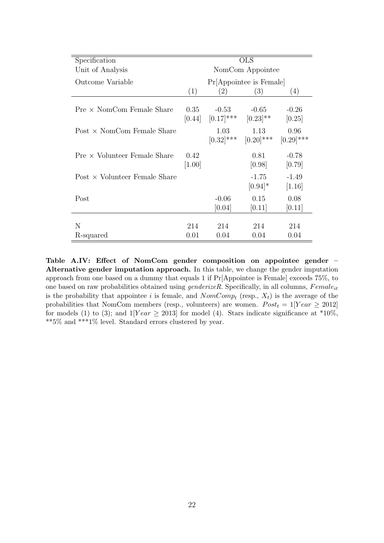<span id="page-22-0"></span>

| Specification                        | <b>OLS</b>       |                         |                         |                      |  |
|--------------------------------------|------------------|-------------------------|-------------------------|----------------------|--|
| Unit of Analysis                     | NomCom Appointee |                         |                         |                      |  |
| Outcome Variable                     |                  |                         | Pr[Appointee is Female] |                      |  |
|                                      | (1)              | (2)                     | (3)                     | (4)                  |  |
| $Pre \times NomCom$ Female Share     | 0.35<br>[0.44]   | $-0.53$<br>$[0.17]$ *** | $-0.65$<br>$[0.23]$ **  | $-0.26$<br>[0.25]    |  |
| Post $\times$ NomCom Female Share    |                  | 1.03<br>$[0.32]$ ***    | 1.13<br>$[0.20]$ ***    | 0.96<br>$[0.29]$ *** |  |
| $Pre \times Volume$                  | 0.42<br>[1.00]   |                         | 0.81<br>[0.98]          | $-0.78$<br>[0.79]    |  |
| Post $\times$ Volunteer Female Share |                  |                         | $-1.75$<br>$[0.94]*$    | $-1.49$<br>[1.16]    |  |
| Post                                 |                  | $-0.06$<br>[0.04]       | 0.15<br>[0.11]          | 0.08<br>[0.11]       |  |
| N                                    | 214              | 214                     | 214                     | 214                  |  |
| R-squared                            | 0.01             | 0.04                    | 0.04                    | 0.04                 |  |

Table A.IV: Effect of NomCom gender composition on appointee gender – Alternative gender imputation approach. In this table, we change the gender imputation approach from one based on a dummy that equals 1 if Pr[Appointee is Female] exceeds 75%, to one based on raw probabilities obtained using  $\mathit{genderizeR}$ . Specifically, in all columns,  $\mathit{Female}_{it}$ is the probability that appointee i is female, and  $NomComp_t$  (resp.,  $X_t$ ) is the average of the probabilities that NomCom members (resp., volunteers) are women.  $Post<sub>t</sub> = 1$ [Year  $\geq 2012$ ] for models (1) to (3); and  $1$ [Year  $\geq$  2013] for model (4). Stars indicate significance at \*10%, \*\*5% and \*\*\*1% level. Standard errors clustered by year.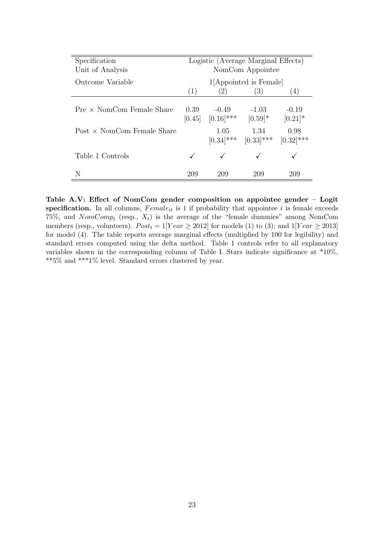<span id="page-23-0"></span>

| Specification<br>Unit of Analysis | Logistic (Average Marginal Effects)<br>NomCom Appointee |                         |                                     |                       |
|-----------------------------------|---------------------------------------------------------|-------------------------|-------------------------------------|-----------------------|
| Outcome Variable                  |                                                         |                         | 1 <sup>[</sup> Appointed is Female] |                       |
|                                   | (1)                                                     | $\left( 2\right)$       | (3)                                 | (4)                   |
| $Pre \times NomCom$ Female Share  | 0.39<br>[0.45]                                          | $-0.49$<br>$[0.16]$ *** | $-1.03$<br>$[0.59]$ *               | $-0.19$<br>$[0.21]$ * |
| Post $\times$ NomCom Female Share |                                                         | 1.05<br>$[0.34]$ ***    | 1.34<br>$[0.33]$ ***                | 0.98<br>$[0.32]$ ***  |
| Table 1 Controls                  |                                                         |                         |                                     |                       |
| N                                 | 209                                                     | 209                     | 209                                 | 209                   |

Table A.V: Effect of NomCom gender composition on appointee gender – Logit specification. In all columns,  $Female_{it}$  is 1 if probability that appointee i is female exceeds 75%, and  $NomComp_t$  (resp.,  $X_t$ ) is the average of the "female dummies" among NomCom members (resp., volunteers).  $Post_t = 1$ [Year  $\geq 2012$ ] for models (1) to (3); and  $1$ [Year  $\geq 2013$ ] for model (4). The table reports average marginal effects (multiplied by 100 for legibility) and standard errors computed using the delta method. Table 1 controls refer to all explanatory variables shown in the corresponding column of Table I. Stars indicate significance at \*10%, \*\*5% and \*\*\*1% level. Standard errors clustered by year.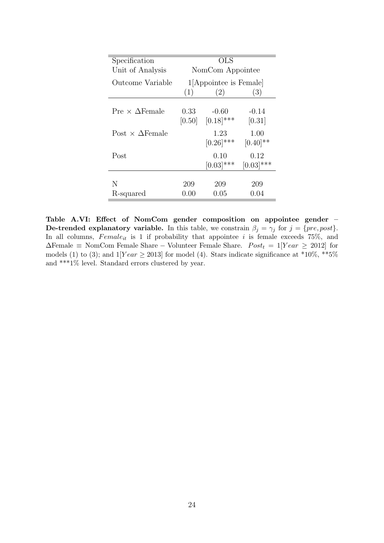<span id="page-24-0"></span>

| Specification                 |                  | <b>OLS</b>              |                                |  |  |
|-------------------------------|------------------|-------------------------|--------------------------------|--|--|
| Unit of Analysis              | NomCom Appointee |                         |                                |  |  |
| Outcome Variable              |                  | 1 Appointee is Female   |                                |  |  |
|                               | (1)              | (2)                     | (3)                            |  |  |
| Pre $\times$ $\Delta$ Female  | 0.33<br>[0.50]   | $-0.60$<br>$[0.18]$ *** | $-0.14$<br>[0.31]              |  |  |
| Post $\times$ $\Delta$ Female |                  | 1.23<br>$[0.26]$ ***    | 1.00<br>$[0.40]$ <sup>**</sup> |  |  |
| Post                          |                  | 0.10<br>$[0.03]$ ***    | 0.12<br>$[0.03]$ ***           |  |  |
|                               |                  |                         |                                |  |  |
| N<br>R-squared                | 209<br>0.00      | 209<br>$0.05\,$         | 209<br>0.04                    |  |  |
|                               |                  |                         |                                |  |  |

Table A.VI: Effect of NomCom gender composition on appointee gender – **De-trended explanatory variable.** In this table, we constrain  $\beta_j = \gamma_j$  for  $j = \{pre, post\}$ . In all columns,  $Female_{it}$  is 1 if probability that appointee i is female exceeds 75%, and  $\Delta$ Female ≡ NomCom Female Share – Volunteer Female Share.  $Post_t = 1$ [Year  $\geq 2012$ ] for models (1) to (3); and  $1[Year \ge 2013]$  for model (4). Stars indicate significance at \*10%, \*\*5% and \*\*\*1% level. Standard errors clustered by year.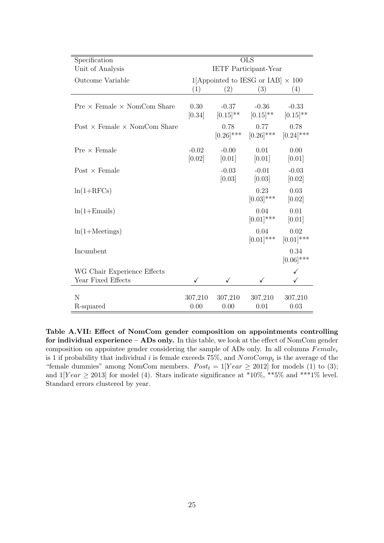<span id="page-25-0"></span>

| Specification                              | <b>OLS</b>        |                                          |                          |                          |  |  |  |
|--------------------------------------------|-------------------|------------------------------------------|--------------------------|--------------------------|--|--|--|
| Unit of Analysis                           |                   | <b>IETF</b> Participant-Year             |                          |                          |  |  |  |
| Outcome Variable                           |                   | 1[Appointed to IESG or IAB] $\times$ 100 |                          |                          |  |  |  |
|                                            | (1)               | (2)                                      | (3)                      | (4)                      |  |  |  |
| $Pre \times Female \times NomCom$ Share    | 0.30<br>[0.34]    | $-0.37$<br>$[0.15]^{**}$                 | $-0.36$<br>$[0.15]^{**}$ | $-0.33$<br>$[0.15]^{**}$ |  |  |  |
| Post $\times$ Female $\times$ NomCom Share |                   | 0.78<br>$[0.26]$ ***                     | 0.77<br>$[0.26]$ ***     | 0.78<br>$[0.24]$ ***     |  |  |  |
| $Pre \times Female$                        | $-0.02$<br>[0.02] | $-0.00$<br>[0.01]                        | 0.01<br>[0.01]           | 0.00<br>[0.01]           |  |  |  |
| Post $\times$ Female                       |                   | $-0.03$<br>[0.03]                        | $-0.01$<br>[0.03]        | $-0.03$<br>[0.02]        |  |  |  |
| $ln(1+RFCs)$                               |                   |                                          | 0.23<br>$[0.03]$ ***     | 0.03<br>[0.02]           |  |  |  |
| $ln(1 + Emails)$                           |                   |                                          | 0.04<br>$[0.01]$ ***     | 0.01<br>[0.01]           |  |  |  |
| $ln(1+Meetings)$                           |                   |                                          | 0.04<br>$[0.01]$ ***     | 0.02<br>$[0.01]$ ***     |  |  |  |
| Incumbent                                  |                   |                                          |                          | 0.34<br>$[0.06]$ ***     |  |  |  |
| WG Chair Experience Effects                |                   |                                          |                          |                          |  |  |  |
| Year Fixed Effects                         | ✓                 | ✓                                        | ✓                        | $\checkmark$             |  |  |  |
| N<br>R-squared                             | 307,210<br>0.00   | 307,210<br>0.00                          | 307,210<br>0.01          | 307,210<br>0.03          |  |  |  |

Table A.VII: Effect of NomCom gender composition on appointments controlling for individual experience – ADs only. In this table, we look at the effect of NomCom gender composition on appointee gender considering the sample of ADs only. In all columns  $Female_i$ is 1 if probability that individual i is female exceeds 75%, and  $NomComp_t$  is the average of the "female dummies" among NomCom members.  $Post_t = 1$ [Year  $\geq 2012$ ] for models (1) to (3); and  $1[Year \ge 2013]$  for model (4). Stars indicate significance at \*10%, \*\*5% and \*\*\*1% level. Standard errors clustered by year.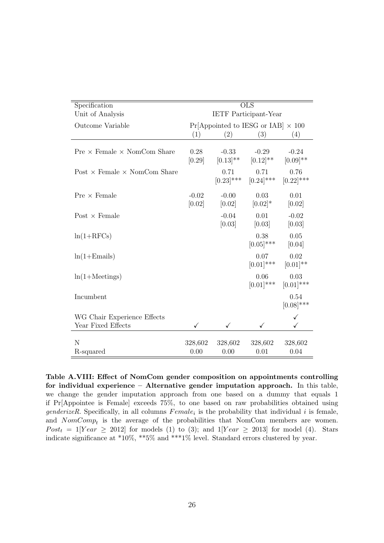<span id="page-26-0"></span>

| Specification                              | <b>OLS</b>                   |                        |                                           |                          |  |  |
|--------------------------------------------|------------------------------|------------------------|-------------------------------------------|--------------------------|--|--|
| Unit of Analysis                           | <b>IETF</b> Participant-Year |                        |                                           |                          |  |  |
| Outcome Variable                           |                              |                        | $Pr[Appointed to IESG or IAB] \times 100$ |                          |  |  |
|                                            | (1)                          | (2)                    | (3)                                       | (4)                      |  |  |
| $Pre \times Female \times NomCom$ Share    | 0.28<br>[0.29]               | $-0.33$<br>$[0.13]$ ** | $-0.29$<br>$[0.12]$ **                    | $-0.24$<br>$[0.09]^{**}$ |  |  |
| Post $\times$ Female $\times$ NomCom Share |                              | 0.71<br>$[0.23]$ ***   | 0.71<br>$[0.24]$ ***                      | 0.76<br>$[0.22]$ ***     |  |  |
| $Pre \times Female$                        | $-0.02$<br>[0.02]            | $-0.00$<br>[0.02]      | 0.03<br>$[0.02]*$                         | 0.01<br>[0.02]           |  |  |
| Post $\times$ Female                       |                              | $-0.04$<br>[0.03]      | 0.01<br>[0.03]                            | $-0.02$<br>[0.03]        |  |  |
| $ln(1+RFCs)$                               |                              |                        | 0.38<br>$[0.05]$ ***                      | 0.05<br>[0.04]           |  |  |
| $ln(1 + Emails)$                           |                              |                        | 0.07<br>$[0.01]$ ***                      | 0.02<br>$[0.01]$ **      |  |  |
| $ln(1+Meetings)$                           |                              |                        | 0.06<br>$[0.01]$ ***                      | 0.03<br>$[0.01]$ ***     |  |  |
| Incumbent                                  |                              |                        |                                           | 0.54<br>$[0.08]$ ***     |  |  |
| WG Chair Experience Effects                |                              |                        |                                           |                          |  |  |
| Year Fixed Effects                         |                              | ✓                      |                                           |                          |  |  |
| N<br>R-squared                             | 328,602<br>0.00              | 328,602<br>0.00        | 328,602<br>0.01                           | 328,602<br>0.04          |  |  |
|                                            |                              |                        |                                           |                          |  |  |

Table A.VIII: Effect of NomCom gender composition on appointments controlling for individual experience – Alternative gender imputation approach. In this table, we change the gender imputation approach from one based on a dummy that equals 1 if Pr[Appointee is Female] exceeds 75%, to one based on raw probabilities obtained using genderizeR. Specifically, in all columns  $Female_i$  is the probability that individual i is female, and  $NomComp_t$  is the average of the probabilities that NomCom members are women.  $Post<sub>t</sub> = 1$ [Year  $\geq 2012$ ] for models (1) to (3); and 1[Year  $\geq 2013$ ] for model (4). Stars indicate significance at \*10%, \*\*5% and \*\*\*1% level. Standard errors clustered by year.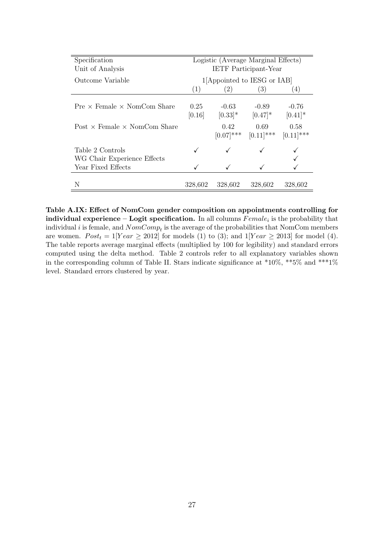<span id="page-27-0"></span>

| Specification                                   | Logistic (Average Marginal Effects) |                       |                            |                       |  |
|-------------------------------------------------|-------------------------------------|-----------------------|----------------------------|-----------------------|--|
| Unit of Analysis                                | <b>IETF</b> Participant-Year        |                       |                            |                       |  |
| Outcome Variable                                |                                     |                       | 1 Appointed to IESG or IAB |                       |  |
|                                                 | (1)                                 | (2)                   | (3)                        | 4)                    |  |
| $Pre \times Female \times NomCom$ Share         | 0.25<br>[0.16]                      | $-0.63$<br>$[0.33]$ * | $-0.89$<br>$[0.47]$ *      | $-0.76$<br>$[0.41]$ * |  |
| Post $\times$ Female $\times$ NomCom Share      |                                     | 0.42<br>$[0.07]$ ***  | 0.69<br>$[0.11]$ ***       | 0.58<br>$[0.11]$ ***  |  |
| Table 2 Controls<br>WG Chair Experience Effects |                                     |                       |                            |                       |  |
| Year Fixed Effects                              |                                     |                       |                            |                       |  |
| N                                               | 328,602                             | 328,602               | 328,602                    | 328,602               |  |

Table A.IX: Effect of NomCom gender composition on appointments controlling for individual experience – Logit specification. In all columns  $Female_i$  is the probability that individual *i* is female, and  $NomComp_t$  is the average of the probabilities that NomCom members are women.  $Post_t = 1$ [Year  $\geq 2012$ ] for models (1) to (3); and  $1$ [Year  $\geq 2013$ ] for model (4). The table reports average marginal effects (multiplied by 100 for legibility) and standard errors computed using the delta method. Table 2 controls refer to all explanatory variables shown in the corresponding column of Table II. Stars indicate significance at  $*10\%, **5\%$  and  $***1\%$ level. Standard errors clustered by year.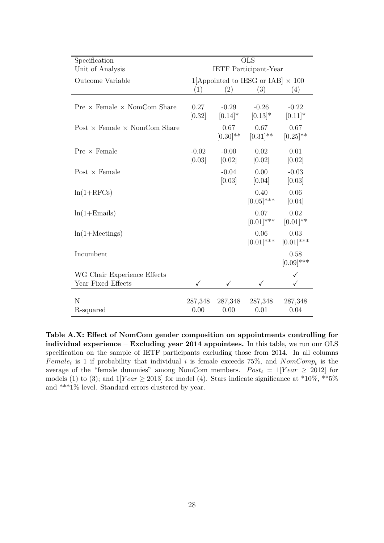<span id="page-28-0"></span>

| Specification                              |                   | <b>OLS</b>                               |                       |                       |  |
|--------------------------------------------|-------------------|------------------------------------------|-----------------------|-----------------------|--|
| Unit of Analysis                           |                   | <b>IETF</b> Participant-Year             |                       |                       |  |
| Outcome Variable                           |                   | 1[Appointed to IESG or IAB] $\times$ 100 |                       |                       |  |
|                                            | (1)               | (2)                                      | (3)                   | (4)                   |  |
| $Pre \times Female \times NomCom$ Share    | 0.27<br>[0.32]    | $-0.29$<br>$[0.14]*$                     | $-0.26$<br>$[0.13]*$  | $-0.22$<br>$[0.11]*$  |  |
| Post $\times$ Female $\times$ NomCom Share |                   | 0.67<br>$[0.30]^{**}$                    | 0.67<br>$[0.31]^{**}$ | 0.67<br>$[0.25]^{**}$ |  |
| $Pre \times Female$                        | $-0.02$<br>[0.03] | $-0.00$<br>[0.02]                        | 0.02<br>[0.02]        | 0.01<br>[0.02]        |  |
| Post $\times$ Female                       |                   | $-0.04$<br>[0.03]                        | 0.00<br>[0.04]        | $-0.03$<br>[0.03]     |  |
| $ln(1+RFCs)$                               |                   |                                          | 0.40<br>$[0.05]$ ***  | 0.06<br>[0.04]        |  |
| $ln(1 + Emails)$                           |                   |                                          | 0.07<br>$[0.01]$ ***  | 0.02<br>$[0.01]^{**}$ |  |
| $ln(1+Meetings)$                           |                   |                                          | 0.06<br>$[0.01]$ ***  | 0.03<br>$[0.01]$ ***  |  |
| Incumbent                                  |                   |                                          |                       | 0.58<br>$[0.09]$ ***  |  |
| WG Chair Experience Effects                |                   |                                          |                       |                       |  |
| Year Fixed Effects                         | $\checkmark$      | ✓                                        |                       | $\checkmark$          |  |
| N<br>R-squared                             | 287,348<br>0.00   | 287,348<br>0.00                          | 287,348<br>0.01       | 287,348<br>0.04       |  |

Table A.X: Effect of NomCom gender composition on appointments controlling for individual experience – Excluding year 2014 appointees. In this table, we run our OLS specification on the sample of IETF participants excluding those from 2014. In all columns Female<sub>i</sub> is 1 if probability that individual i is female exceeds 75%, and  $NomComp_t$  is the average of the "female dummies" among NomCom members.  $Post_t = 1$ [Year  $\geq 2012$ ] for models (1) to (3); and  $1$ [Year  $\geq$  2013] for model (4). Stars indicate significance at \*10%, \*\*5% and \*\*\*1% level. Standard errors clustered by year.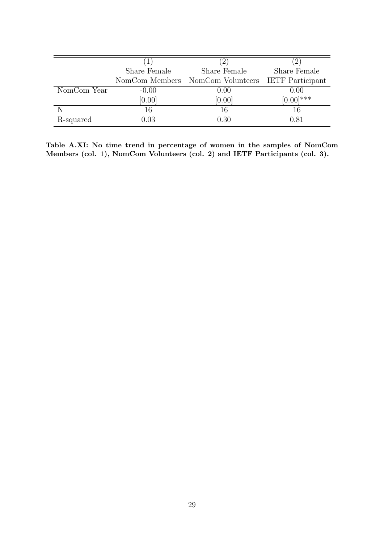<span id="page-29-0"></span>

|             |                | $\left(2\right)$                   |              |
|-------------|----------------|------------------------------------|--------------|
|             | Share Female   | Share Female                       | Share Female |
|             | NomCom Members | NomCom Volunteers IETF Participant |              |
| NomCom Year | $-0.00$        | 0.00                               | 0.00         |
|             | [0.00]         | [0.00]                             | $[0.00]$ *** |
|             | 16             | 16                                 | 16           |
| R-squared   | $\rm 0.03$     | 0.30                               | 0.81         |

Table A.XI: No time trend in percentage of women in the samples of NomCom Members (col. 1), NomCom Volunteers (col. 2) and IETF Participants (col. 3).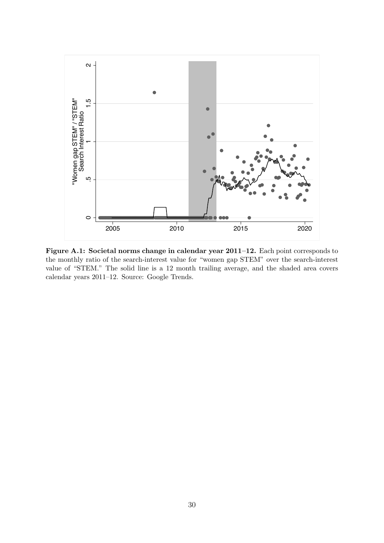

Figure A.1: Societal norms change in calendar year 2011–12. Each point corresponds to the monthly ratio of the search-interest value for "women gap STEM" over the search-interest value of "STEM." The solid line is a 12 month trailing average, and the shaded area covers calendar years 2011–12. Source: Google Trends.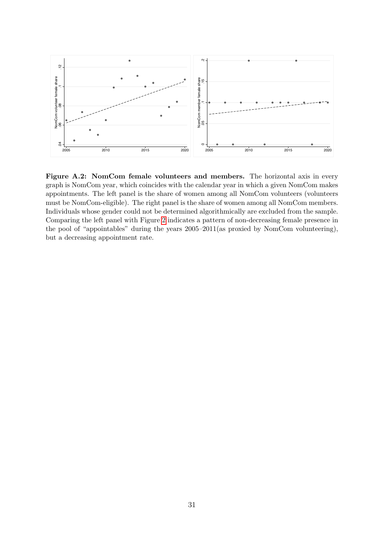<span id="page-31-0"></span>

Figure A.2: NomCom female volunteers and members. The horizontal axis in every graph is NomCom year, which coincides with the calendar year in which a given NomCom makes appointments. The left panel is the share of women among all NomCom volunteers (volunteers must be NomCom-eligible). The right panel is the share of women among all NomCom members. Individuals whose gender could not be determined algorithmically are excluded from the sample. Comparing the left panel with Figure [2](#page-9-0) indicates a pattern of non-decreasing female presence in the pool of "appointables" during the years 2005–2011(as proxied by NomCom volunteering), but a decreasing appointment rate.